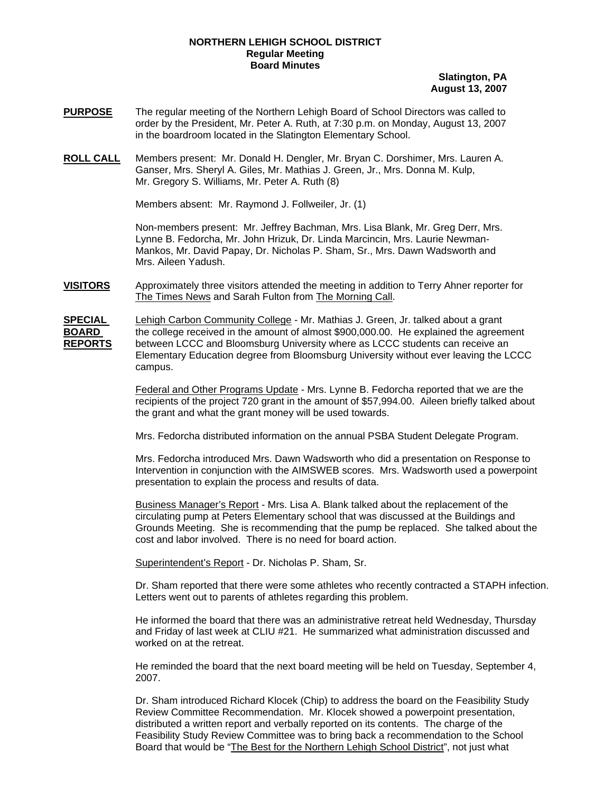## **NORTHERN LEHIGH SCHOOL DISTRICT Regular Meeting Board Minutes**

## **Slatington, PA August 13, 2007**

- **PURPOSE** The regular meeting of the Northern Lehigh Board of School Directors was called to order by the President, Mr. Peter A. Ruth, at 7:30 p.m. on Monday, August 13, 2007 in the boardroom located in the Slatington Elementary School.
- **ROLL CALL** Members present: Mr. Donald H. Dengler, Mr. Bryan C. Dorshimer, Mrs. Lauren A. Ganser, Mrs. Sheryl A. Giles, Mr. Mathias J. Green, Jr., Mrs. Donna M. Kulp, Mr. Gregory S. Williams, Mr. Peter A. Ruth (8)

Members absent: Mr. Raymond J. Follweiler, Jr. (1)

Non-members present: Mr. Jeffrey Bachman, Mrs. Lisa Blank, Mr. Greg Derr, Mrs. Lynne B. Fedorcha, Mr. John Hrizuk, Dr. Linda Marcincin, Mrs. Laurie Newman-Mankos, Mr. David Papay, Dr. Nicholas P. Sham, Sr., Mrs. Dawn Wadsworth and Mrs. Aileen Yadush.

**VISITORS** Approximately three visitors attended the meeting in addition to Terry Ahner reporter for The Times News and Sarah Fulton from The Morning Call.

**SPECIAL** Lehigh Carbon Community College - Mr. Mathias J. Green, Jr. talked about a grant **BOARD** the college received in the amount of almost \$900,000.00. He explained the agreement **REPORTS** between LCCC and Bloomsburg University where as LCCC students can receive an Elementary Education degree from Bloomsburg University without ever leaving the LCCC campus.

> Federal and Other Programs Update - Mrs. Lynne B. Fedorcha reported that we are the recipients of the project 720 grant in the amount of \$57,994.00. Aileen briefly talked about the grant and what the grant money will be used towards.

Mrs. Fedorcha distributed information on the annual PSBA Student Delegate Program.

Mrs. Fedorcha introduced Mrs. Dawn Wadsworth who did a presentation on Response to Intervention in conjunction with the AIMSWEB scores. Mrs. Wadsworth used a powerpoint presentation to explain the process and results of data.

Business Manager's Report - Mrs. Lisa A. Blank talked about the replacement of the circulating pump at Peters Elementary school that was discussed at the Buildings and Grounds Meeting. She is recommending that the pump be replaced. She talked about the cost and labor involved. There is no need for board action.

Superintendent's Report - Dr. Nicholas P. Sham, Sr.

Dr. Sham reported that there were some athletes who recently contracted a STAPH infection. Letters went out to parents of athletes regarding this problem.

He informed the board that there was an administrative retreat held Wednesday, Thursday and Friday of last week at CLIU #21. He summarized what administration discussed and worked on at the retreat.

He reminded the board that the next board meeting will be held on Tuesday, September 4, 2007.

Dr. Sham introduced Richard Klocek (Chip) to address the board on the Feasibility Study Review Committee Recommendation. Mr. Klocek showed a powerpoint presentation, distributed a written report and verbally reported on its contents. The charge of the Feasibility Study Review Committee was to bring back a recommendation to the School Board that would be "The Best for the Northern Lehigh School District", not just what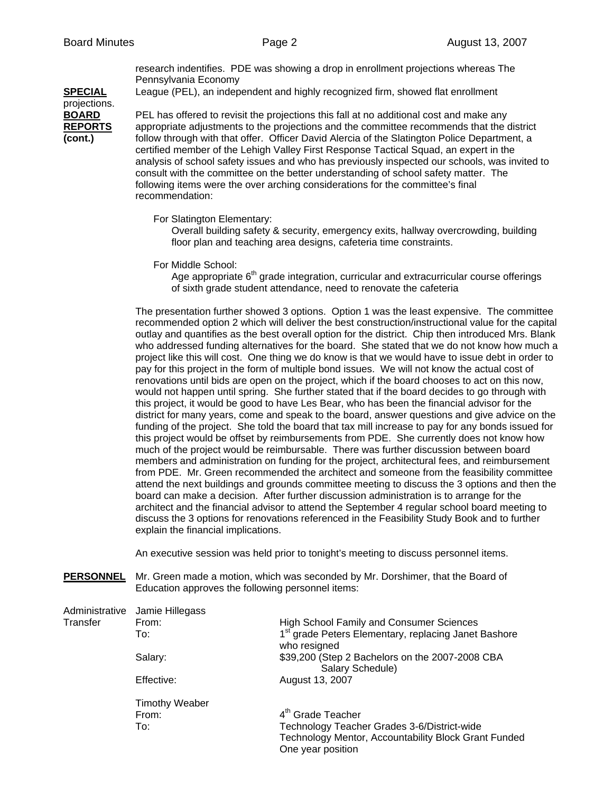research indentifies. PDE was showing a drop in enrollment projections whereas The Pennsylvania Economy

**SPECIAL** League (PEL), an independent and highly recognized firm, showed flat enrollment

projections.

**BOARD** PEL has offered to revisit the projections this fall at no additional cost and make any **REPORTS** appropriate adjustments to the projections and the committee recommends that the district **(cont.)** follow through with that offer. Officer David Alercia of the Slatington Police Department, a certified member of the Lehigh Valley First Response Tactical Squad, an expert in the analysis of school safety issues and who has previously inspected our schools, was invited to consult with the committee on the better understanding of school safety matter. The following items were the over arching considerations for the committee's final recommendation:

For Slatington Elementary:

Overall building safety & security, emergency exits, hallway overcrowding, building floor plan and teaching area designs, cafeteria time constraints.

For Middle School:

Age appropriate  $6<sup>th</sup>$  grade integration, curricular and extracurricular course offerings of sixth grade student attendance, need to renovate the cafeteria

The presentation further showed 3 options. Option 1 was the least expensive. The committee recommended option 2 which will deliver the best construction/instructional value for the capital outlay and quantifies as the best overall option for the district. Chip then introduced Mrs. Blank who addressed funding alternatives for the board. She stated that we do not know how much a project like this will cost. One thing we do know is that we would have to issue debt in order to pay for this project in the form of multiple bond issues. We will not know the actual cost of renovations until bids are open on the project, which if the board chooses to act on this now, would not happen until spring. She further stated that if the board decides to go through with this project, it would be good to have Les Bear, who has been the financial advisor for the district for many years, come and speak to the board, answer questions and give advice on the funding of the project. She told the board that tax mill increase to pay for any bonds issued for this project would be offset by reimbursements from PDE. She currently does not know how much of the project would be reimbursable. There was further discussion between board members and administration on funding for the project, architectural fees, and reimbursement from PDE. Mr. Green recommended the architect and someone from the feasibility committee attend the next buildings and grounds committee meeting to discuss the 3 options and then the board can make a decision. After further discussion administration is to arrange for the architect and the financial advisor to attend the September 4 regular school board meeting to discuss the 3 options for renovations referenced in the Feasibility Study Book and to further explain the financial implications.

An executive session was held prior to tonight's meeting to discuss personnel items.

**PERSONNEL** Mr. Green made a motion, which was seconded by Mr. Dorshimer, that the Board of Education approves the following personnel items:

|          | Administrative Jamie Hillegass |                                                                                  |
|----------|--------------------------------|----------------------------------------------------------------------------------|
| Transfer | From:                          | <b>High School Family and Consumer Sciences</b>                                  |
|          | To:                            | 1 <sup>st</sup> grade Peters Elementary, replacing Janet Bashore<br>who resigned |
|          | Salary:                        | \$39,200 (Step 2 Bachelors on the 2007-2008 CBA<br>Salary Schedule)              |
|          | Effective:                     | August 13, 2007                                                                  |
|          | <b>Timothy Weaber</b>          |                                                                                  |
|          | From:                          | 4 <sup>th</sup> Grade Teacher                                                    |
|          | To:                            | Technology Teacher Grades 3-6/District-wide                                      |
|          |                                | Technology Mentor, Accountability Block Grant Funded                             |
|          |                                | One year position                                                                |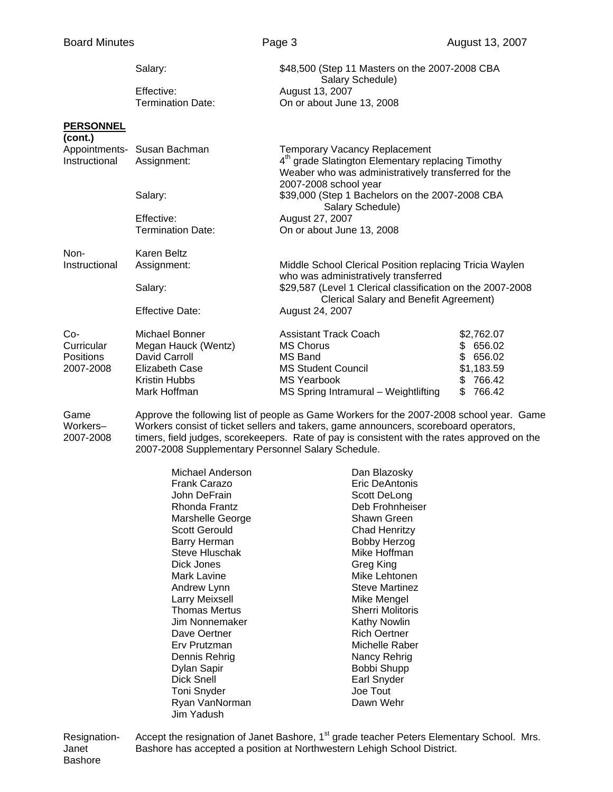| <b>Board Minutes</b>                               |                                                                                                                  | Page 3                                                                                                                                                 | August 13, 2007                                                                                                      |  |  |
|----------------------------------------------------|------------------------------------------------------------------------------------------------------------------|--------------------------------------------------------------------------------------------------------------------------------------------------------|----------------------------------------------------------------------------------------------------------------------|--|--|
|                                                    | Salary:                                                                                                          |                                                                                                                                                        | \$48,500 (Step 11 Masters on the 2007-2008 CBA                                                                       |  |  |
|                                                    | Effective:<br><b>Termination Date:</b>                                                                           | Salary Schedule)<br>August 13, 2007<br>On or about June 13, 2008                                                                                       |                                                                                                                      |  |  |
| <b>PERSONNEL</b><br>(cont.)                        |                                                                                                                  |                                                                                                                                                        |                                                                                                                      |  |  |
| Instructional                                      | Appointments- Susan Bachman<br>Assignment:                                                                       | <b>Temporary Vacancy Replacement</b><br>2007-2008 school year                                                                                          | 4 <sup>th</sup> grade Slatington Elementary replacing Timothy<br>Weaber who was administratively transferred for the |  |  |
|                                                    | Salary:                                                                                                          |                                                                                                                                                        | \$39,000 (Step 1 Bachelors on the 2007-2008 CBA<br>Salary Schedule)                                                  |  |  |
|                                                    | Effective:<br><b>Termination Date:</b>                                                                           | August 27, 2007<br>On or about June 13, 2008                                                                                                           |                                                                                                                      |  |  |
| Non-                                               | <b>Karen Beltz</b>                                                                                               |                                                                                                                                                        |                                                                                                                      |  |  |
| Instructional                                      | Assignment:                                                                                                      |                                                                                                                                                        | Middle School Clerical Position replacing Tricia Waylen<br>who was administratively transferred                      |  |  |
|                                                    | Salary:                                                                                                          |                                                                                                                                                        | \$29,587 (Level 1 Clerical classification on the 2007-2008<br>Clerical Salary and Benefit Agreement)                 |  |  |
|                                                    | <b>Effective Date:</b>                                                                                           | August 24, 2007                                                                                                                                        |                                                                                                                      |  |  |
| Co-<br>Curricular<br><b>Positions</b><br>2007-2008 | Michael Bonner<br>Megan Hauck (Wentz)<br>David Carroll<br>Elizabeth Case<br><b>Kristin Hubbs</b><br>Mark Hoffman | <b>Assistant Track Coach</b><br><b>MS Chorus</b><br>MS Band<br><b>MS Student Council</b><br><b>MS Yearbook</b><br>MS Spring Intramural - Weightlifting | \$2,762.07<br>\$656.02<br>\$656.02<br>\$1,183.59<br>\$766.42<br>\$766.42                                             |  |  |
| Game                                               | Approve the following list of people as Game Workers for the 2007-2008 school year. Game                         |                                                                                                                                                        |                                                                                                                      |  |  |

Workers– Workers consist of ticket sellers and takers, game announcers, scoreboard operators,<br>2007-2008 timers, field judges, scorekeepers. Rate of pay is consistent with the rates approved of timers, field judges, scorekeepers. Rate of pay is consistent with the rates approved on the 2007-2008 Supplementary Personnel Salary Schedule.

> Michael Anderson **Dan Blazosky** Frank Carazo **Eric DeAntonis**<br>
> John DeFrain **Caracter Contract Contract Contract Contract Contract Contract Contract Contract Contract Contra<br>
> Scott DeLong** Rhonda Frantz **Deb Frohnheiser**<br>Marshelle George **National School Shawn Green** Marshelle George Scott Gerould Chad Henritzy Barry Herman Bobby Herzog Steve Hluschak Mike Hoffman Dick Jones Greg King Mark Lavine **Mike Lehtonen** Andrew Lynn **Steve Martinez** Larry Meixsell **Mike Mengel** Thomas Mertus<br>
> Jim Nonnemaker<br>
> Sherri Molitoris<br>
> Kathy Nowlin Jim Nonnemaker Dave Oertner **Nich Oertner** Rich Oertner Erv Prutzman Michelle Raber Dennis Rehrig Nancy Rehrig Nancy Rehrig Dylan Sapir Bobbi Shupp Toni Snyder **Communist Communist Communist Communist Communist Communist Communist Communist Communist Communist Communist Communist Communist Communist Communist Communist Communist Communist Communist Communist Communist** Ryan VanNorman Dawn Wehr Jim Yadush

Scott DeLong Earl Snyder

Resignation- Accept the resignation of Janet Bashore, 1<sup>st</sup> grade teacher Peters Elementary School. Mrs. Janet Bashore has accepted a position at Northwestern Lehigh School District. Bashore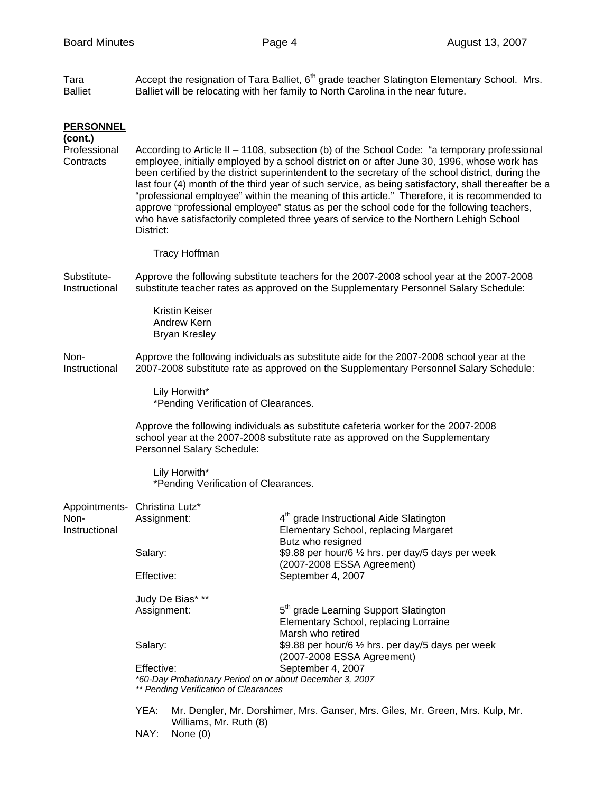Tara  $\blacksquare$  Accept the resignation of Tara Balliet,  $6^{th}$  grade teacher Slatington Elementary School. Mrs. Balliet Balliet will be relocating with her family to North Carolina in the near future.

| <b>PERSONNEL</b><br>(cont.)                            |                                                                                                                                                                                                                                                                                                                                                                                                                                                                                                                                                                                                                                                                                                             |                                                                                |                                                                                                                                                                                                     |  |  |  |
|--------------------------------------------------------|-------------------------------------------------------------------------------------------------------------------------------------------------------------------------------------------------------------------------------------------------------------------------------------------------------------------------------------------------------------------------------------------------------------------------------------------------------------------------------------------------------------------------------------------------------------------------------------------------------------------------------------------------------------------------------------------------------------|--------------------------------------------------------------------------------|-----------------------------------------------------------------------------------------------------------------------------------------------------------------------------------------------------|--|--|--|
| Professional<br>Contracts                              | According to Article II - 1108, subsection (b) of the School Code: "a temporary professional<br>employee, initially employed by a school district on or after June 30, 1996, whose work has<br>been certified by the district superintendent to the secretary of the school district, during the<br>last four (4) month of the third year of such service, as being satisfactory, shall thereafter be a<br>"professional employee" within the meaning of this article." Therefore, it is recommended to<br>approve "professional employee" status as per the school code for the following teachers,<br>who have satisfactorily completed three years of service to the Northern Lehigh School<br>District: |                                                                                |                                                                                                                                                                                                     |  |  |  |
|                                                        | <b>Tracy Hoffman</b>                                                                                                                                                                                                                                                                                                                                                                                                                                                                                                                                                                                                                                                                                        |                                                                                |                                                                                                                                                                                                     |  |  |  |
| Substitute-<br>Instructional                           | Approve the following substitute teachers for the 2007-2008 school year at the 2007-2008<br>substitute teacher rates as approved on the Supplementary Personnel Salary Schedule:                                                                                                                                                                                                                                                                                                                                                                                                                                                                                                                            |                                                                                |                                                                                                                                                                                                     |  |  |  |
|                                                        |                                                                                                                                                                                                                                                                                                                                                                                                                                                                                                                                                                                                                                                                                                             | Kristin Keiser<br>Andrew Kern<br><b>Bryan Kresley</b>                          |                                                                                                                                                                                                     |  |  |  |
| Non-<br>Instructional                                  | Approve the following individuals as substitute aide for the 2007-2008 school year at the<br>2007-2008 substitute rate as approved on the Supplementary Personnel Salary Schedule:                                                                                                                                                                                                                                                                                                                                                                                                                                                                                                                          |                                                                                |                                                                                                                                                                                                     |  |  |  |
|                                                        | Lily Horwith*<br>*Pending Verification of Clearances.                                                                                                                                                                                                                                                                                                                                                                                                                                                                                                                                                                                                                                                       |                                                                                |                                                                                                                                                                                                     |  |  |  |
|                                                        | Approve the following individuals as substitute cafeteria worker for the 2007-2008<br>school year at the 2007-2008 substitute rate as approved on the Supplementary<br>Personnel Salary Schedule:                                                                                                                                                                                                                                                                                                                                                                                                                                                                                                           |                                                                                |                                                                                                                                                                                                     |  |  |  |
|                                                        |                                                                                                                                                                                                                                                                                                                                                                                                                                                                                                                                                                                                                                                                                                             | Lily Horwith*<br>*Pending Verification of Clearances.                          |                                                                                                                                                                                                     |  |  |  |
| Appointments- Christina Lutz*<br>Non-<br>Instructional | Assignment:                                                                                                                                                                                                                                                                                                                                                                                                                                                                                                                                                                                                                                                                                                 |                                                                                | 4 <sup>th</sup> grade Instructional Aide Slatington<br>Elementary School, replacing Margaret                                                                                                        |  |  |  |
|                                                        | Salary:                                                                                                                                                                                                                                                                                                                                                                                                                                                                                                                                                                                                                                                                                                     |                                                                                | Butz who resigned<br>\$9.88 per hour/6 1/2 hrs. per day/5 days per week<br>(2007-2008 ESSA Agreement)                                                                                               |  |  |  |
|                                                        | Effective:                                                                                                                                                                                                                                                                                                                                                                                                                                                                                                                                                                                                                                                                                                  |                                                                                | September 4, 2007                                                                                                                                                                                   |  |  |  |
|                                                        | Judy De Bias* **<br>Assignment:<br>Salary:                                                                                                                                                                                                                                                                                                                                                                                                                                                                                                                                                                                                                                                                  |                                                                                | 5 <sup>th</sup> grade Learning Support Slatington<br>Elementary School, replacing Lorraine<br>Marsh who retired<br>\$9.88 per hour/6 1/2 hrs. per day/5 days per week<br>(2007-2008 ESSA Agreement) |  |  |  |
|                                                        |                                                                                                                                                                                                                                                                                                                                                                                                                                                                                                                                                                                                                                                                                                             |                                                                                |                                                                                                                                                                                                     |  |  |  |
|                                                        | Effective:<br>*60-Day Probationary Period on or about December 3, 2007<br>** Pending Verification of Clearances                                                                                                                                                                                                                                                                                                                                                                                                                                                                                                                                                                                             |                                                                                | September 4, 2007                                                                                                                                                                                   |  |  |  |
|                                                        | YEA:                                                                                                                                                                                                                                                                                                                                                                                                                                                                                                                                                                                                                                                                                                        | Mr. Dengler, Mr. Dorshimer, Mrs. Ganser, Mrs. Giles, Mr. Green, Mrs. Kulp, Mr. |                                                                                                                                                                                                     |  |  |  |
|                                                        | NAY:                                                                                                                                                                                                                                                                                                                                                                                                                                                                                                                                                                                                                                                                                                        | Williams, Mr. Ruth (8)<br>None $(0)$                                           |                                                                                                                                                                                                     |  |  |  |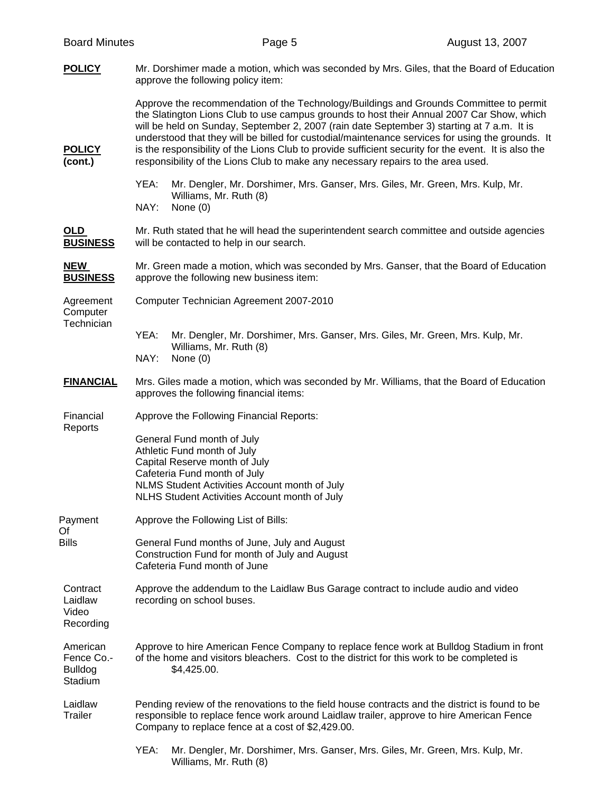| <b>Board Minutes</b>                                | Page 5                                                                                                                                                                                                                                                                                                                                                                                                                                                                                                                                                                            | August 13, 2007 |
|-----------------------------------------------------|-----------------------------------------------------------------------------------------------------------------------------------------------------------------------------------------------------------------------------------------------------------------------------------------------------------------------------------------------------------------------------------------------------------------------------------------------------------------------------------------------------------------------------------------------------------------------------------|-----------------|
| <b>POLICY</b>                                       | Mr. Dorshimer made a motion, which was seconded by Mrs. Giles, that the Board of Education<br>approve the following policy item:                                                                                                                                                                                                                                                                                                                                                                                                                                                  |                 |
| <b>POLICY</b><br>(cont.)                            | Approve the recommendation of the Technology/Buildings and Grounds Committee to permit<br>the Slatington Lions Club to use campus grounds to host their Annual 2007 Car Show, which<br>will be held on Sunday, September 2, 2007 (rain date September 3) starting at 7 a.m. It is<br>understood that they will be billed for custodial/maintenance services for using the grounds. It<br>is the responsibility of the Lions Club to provide sufficient security for the event. It is also the<br>responsibility of the Lions Club to make any necessary repairs to the area used. |                 |
|                                                     | YEA:<br>Mr. Dengler, Mr. Dorshimer, Mrs. Ganser, Mrs. Giles, Mr. Green, Mrs. Kulp, Mr.<br>Williams, Mr. Ruth (8)<br>NAY:<br>None $(0)$                                                                                                                                                                                                                                                                                                                                                                                                                                            |                 |
| OLD<br><b>BUSINESS</b>                              | Mr. Ruth stated that he will head the superintendent search committee and outside agencies<br>will be contacted to help in our search.                                                                                                                                                                                                                                                                                                                                                                                                                                            |                 |
| <b>NEW</b><br><b>BUSINESS</b>                       | Mr. Green made a motion, which was seconded by Mrs. Ganser, that the Board of Education<br>approve the following new business item:                                                                                                                                                                                                                                                                                                                                                                                                                                               |                 |
| Agreement<br>Computer<br>Technician                 | Computer Technician Agreement 2007-2010                                                                                                                                                                                                                                                                                                                                                                                                                                                                                                                                           |                 |
|                                                     | YEA:<br>Mr. Dengler, Mr. Dorshimer, Mrs. Ganser, Mrs. Giles, Mr. Green, Mrs. Kulp, Mr.<br>Williams, Mr. Ruth (8)<br>NAY:<br>None $(0)$                                                                                                                                                                                                                                                                                                                                                                                                                                            |                 |
| <b>FINANCIAL</b>                                    | Mrs. Giles made a motion, which was seconded by Mr. Williams, that the Board of Education<br>approves the following financial items:                                                                                                                                                                                                                                                                                                                                                                                                                                              |                 |
| Financial<br>Reports                                | Approve the Following Financial Reports:                                                                                                                                                                                                                                                                                                                                                                                                                                                                                                                                          |                 |
|                                                     | General Fund month of July<br>Athletic Fund month of July<br>Capital Reserve month of July<br>Cafeteria Fund month of July<br>NLMS Student Activities Account month of July<br>NLHS Student Activities Account month of July                                                                                                                                                                                                                                                                                                                                                      |                 |
| Payment<br>Of                                       | Approve the Following List of Bills:                                                                                                                                                                                                                                                                                                                                                                                                                                                                                                                                              |                 |
| <b>Bills</b>                                        | General Fund months of June, July and August<br>Construction Fund for month of July and August<br>Cafeteria Fund month of June                                                                                                                                                                                                                                                                                                                                                                                                                                                    |                 |
| Contract<br>Laidlaw<br>Video<br>Recording           | Approve the addendum to the Laidlaw Bus Garage contract to include audio and video<br>recording on school buses.                                                                                                                                                                                                                                                                                                                                                                                                                                                                  |                 |
| American<br>Fence Co.-<br><b>Bulldog</b><br>Stadium | Approve to hire American Fence Company to replace fence work at Bulldog Stadium in front<br>of the home and visitors bleachers. Cost to the district for this work to be completed is<br>\$4,425.00.                                                                                                                                                                                                                                                                                                                                                                              |                 |
| Laidlaw<br><b>Trailer</b>                           | Pending review of the renovations to the field house contracts and the district is found to be<br>responsible to replace fence work around Laidlaw trailer, approve to hire American Fence<br>Company to replace fence at a cost of \$2,429.00.                                                                                                                                                                                                                                                                                                                                   |                 |
|                                                     | YEA:<br>Mr. Dengler, Mr. Dorshimer, Mrs. Ganser, Mrs. Giles, Mr. Green, Mrs. Kulp, Mr.<br>Williams, Mr. Ruth (8)                                                                                                                                                                                                                                                                                                                                                                                                                                                                  |                 |